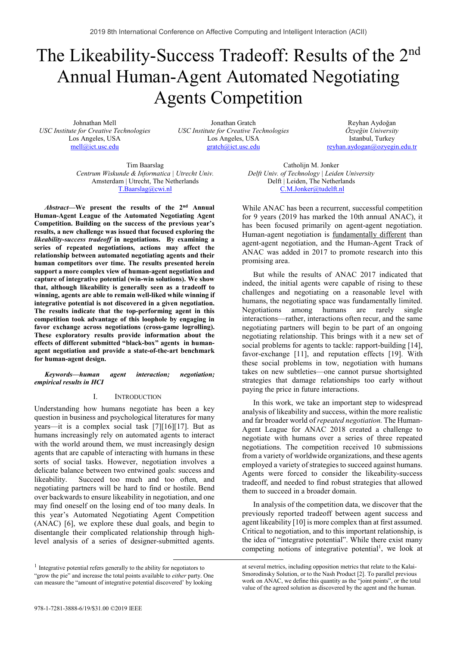# The Likeability-Success Tradeoff: Results of the 2<sup>nd</sup> Annual Human-Agent Automated Negotiating Agents Competition

Johnathan Mell *USC Institute for Creative Technologies*  Los Angeles, USA mell@ict.usc.edu

Jonathan Gratch *USC Institute for Creative Technologies*  Los Angeles, USA gratch@ict.usc.edu

Reyhan Aydoğan *Özye÷in University*  Istanbul, Turkey reyhan.aydogan@ozyegin.edu.tr

Tim Baarslag *Centrum Wiskunde & Informatica | Utrecht Univ.*  Amsterdam | Utrecht, The Netherlands T.Baarslag@cwi.nl

*Abstract***—We present the results of the 2nd Annual Human-Agent League of the Automated Negotiating Agent Competition. Building on the success of the previous year's results, a new challenge was issued that focused exploring the**  *likeability-success tradeoff* **in negotiations. By examining a series of repeated negotiations, actions may affect the relationship between automated negotiating agents and their human competitors over time. The results presented herein support a more complex view of human-agent negotiation and capture of integrative potential (win-win solutions). We show that, although likeability is generally seen as a tradeoff to winning, agents are able to remain well-liked while winning if integrative potential is not discovered in a given negotiation. The results indicate that the top-performing agent in this competition took advantage of this loophole by engaging in favor exchange across negotiations (cross-game logrolling). These exploratory results provide information about the effects of different submitted "black-box" agents in humanagent negotiation and provide a state-of-the-art benchmark for human-agent design.** 

*Keywords—human agent interaction; negotiation; empirical results in HCI* 

#### I. INTRODUCTION

Understanding how humans negotiate has been a key question in business and psychological literatures for many years—it is a complex social task [7][16][17]. But as humans increasingly rely on automated agents to interact with the world around them, we must increasingly design agents that are capable of interacting with humans in these sorts of social tasks. However, negotiation involves a delicate balance between two entwined goals: success and likeability. Succeed too much and too often, and negotiating partners will be hard to find or hostile. Bend over backwards to ensure likeability in negotiation, and one may find oneself on the losing end of too many deals. In this year's Automated Negotiating Agent Competition (ANAC) [6], we explore these dual goals, and begin to disentangle their complicated relationship through highlevel analysis of a series of designer-submitted agents.

<sup>1</sup> Integrative potential refers generally to the ability for negotiators to "grow the pie" and increase the total points available to *either* party. One can measure the "amount of integrative potential discovered' by looking

Catholijn M. Jonker *Delft Univ. of Technology | Leiden University*  Delft | Leiden, The Netherlands C.M.Jonker@tudelft.nl

While ANAC has been a recurrent, successful competition for 9 years (2019 has marked the 10th annual ANAC), it has been focused primarily on agent-agent negotiation. Human-agent negotiation is fundamentally different than agent-agent negotiation, and the Human-Agent Track of ANAC was added in 2017 to promote research into this promising area.

But while the results of ANAC 2017 indicated that indeed, the initial agents were capable of rising to these challenges and negotiating on a reasonable level with humans, the negotiating space was fundamentally limited. Negotiations among humans are rarely single interactions—rather, interactions often recur, and the same negotiating partners will begin to be part of an ongoing negotiating relationship. This brings with it a new set of social problems for agents to tackle: rapport-building [14], favor-exchange [11], and reputation effects [19]. With these social problems in tow, negotiation with humans takes on new subtleties—one cannot pursue shortsighted strategies that damage relationships too early without paying the price in future interactions.

In this work, we take an important step to widespread analysis of likeability and success, within the more realistic and far broader world of *repeated negotiation.* The Human-Agent League for ANAC 2018 created a challenge to negotiate with humans over a series of three repeated negotiations. The competition received 10 submissions from a variety of worldwide organizations, and these agents employed a variety of strategies to succeed against humans. Agents were forced to consider the likeability-success tradeoff, and needed to find robust strategies that allowed them to succeed in a broader domain.

In analysis of the competition data, we discover that the previously reported tradeoff between agent success and agent likeability [10] is more complex than at first assumed. Critical to negotiation, and to this important relationship, is the idea of "integrative potential". While there exist many competing notions of integrative potential<sup>1</sup>, we look at

at several metrics, including opposition metrics that relate to the Kalai-Smorodinsky Solution, or to the Nash Product [2]. To parallel previous work on ANAC, we define this quantity as the "joint points", or the total value of the agreed solution as discovered by the agent and the human.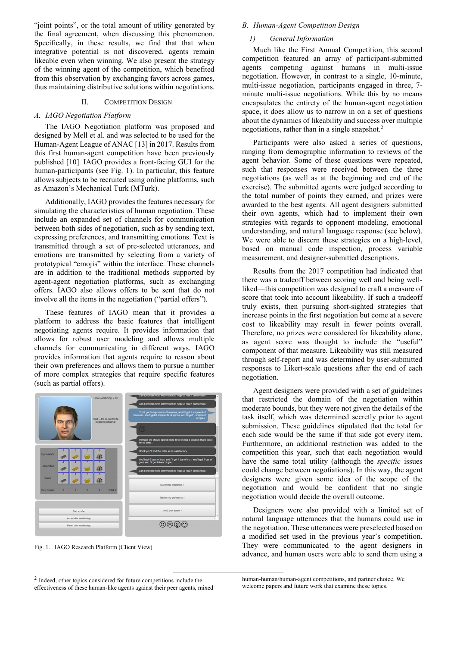"joint points", or the total amount of utility generated by the final agreement, when discussing this phenomenon. Specifically, in these results, we find that that when integrative potential is not discovered, agents remain likeable even when winning. We also present the strategy of the winning agent of the competition, which benefited from this observation by exchanging favors across games, thus maintaining distributive solutions within negotiations.

#### II. COMPETITION DESIGN

#### *A. IAGO Negotiation Platform*

The IAGO Negotiation platform was proposed and designed by Mell et al. and was selected to be used for the Human-Agent League of ANAC [13] in 2017. Results from this first human-agent competition have been previously published [10]. IAGO provides a front-facing GUI for the human-participants (see Fig. 1). In particular, this feature allows subjects to be recruited using online platforms, such as Amazon's Mechanical Turk (MTurk).

Additionally, IAGO provides the features necessary for simulating the characteristics of human negotiation. These include an expanded set of channels for communication between both sides of negotiation, such as by sending text, expressing preferences, and transmitting emotions. Text is transmitted through a set of pre-selected utterances, and emotions are transmitted by selecting from a variety of prototypical "emojis" within the interface. These channels are in addition to the traditional methods supported by agent-agent negotiation platforms, such as exchanging offers. IAGO also allows offers to be sent that do not involve all the items in the negotiation ("partial offers").

These features of IAGO mean that it provides a platform to address the basic features that intelligent negotiating agents require. It provides information that allows for robust user modeling and allows multiple channels for communicating in different ways. IAGO provides information that agents require to reason about their own preferences and allows them to pursue a number of more complex strategies that require specific features (such as partial offers).



Fig. 1. IAGO Research Platform (Client View)

#### *B. Human-Agent Competition Design*

#### *1) General Information*

Much like the First Annual Competition, this second competition featured an array of participant-submitted agents competing against humans in multi-issue negotiation. However, in contrast to a single, 10-minute, multi-issue negotiation, participants engaged in three, 7 minute multi-issue negotiations. While this by no means encapsulates the entirety of the human-agent negotiation space, it does allow us to narrow in on a set of questions about the dynamics of likeability and success over multiple negotiations, rather than in a single snapshot.<sup>2</sup>

Participants were also asked a series of questions, ranging from demographic information to reviews of the agent behavior. Some of these questions were repeated, such that responses were received between the three negotiations (as well as at the beginning and end of the exercise). The submitted agents were judged according to the total number of points they earned, and prizes were awarded to the best agents. All agent designers submitted their own agents, which had to implement their own strategies with regards to opponent modeling, emotional understanding, and natural language response (see below). We were able to discern these strategies on a high-level, based on manual code inspection, process variable measurement, and designer-submitted descriptions.

Results from the 2017 competition had indicated that there was a tradeoff between scoring well and being wellliked—this competition was designed to craft a measure of score that took into account likeability. If such a tradeoff truly exists, then pursuing short-sighted strategies that increase points in the first negotiation but come at a severe cost to likeability may result in fewer points overall. Therefore, no prizes were considered for likeability alone, as agent score was thought to include the "useful" component of that measure. Likeability was still measured through self-report and was determined by user-submitted responses to Likert-scale questions after the end of each negotiation.

Agent designers were provided with a set of guidelines that restricted the domain of the negotiation within moderate bounds, but they were not given the details of the task itself, which was determined secretly prior to agent submission. These guidelines stipulated that the total for each side would be the same if that side got every item. Furthermore, an additional restriction was added to the competition this year, such that each negotiation would have the same total utility (although the *specific* issues could change between negotiations). In this way, the agent designers were given some idea of the scope of the negotiation and would be confident that no single negotiation would decide the overall outcome.

Designers were also provided with a limited set of natural language utterances that the humans could use in the negotiation. These utterances were preselected based on a modified set used in the previous year's competition. They were communicated to the agent designers in advance, and human users were able to send them using a

 <sup>2</sup> Indeed, other topics considered for future competitions include the

effectiveness of these human-like agents against their peer agents, mixed

human-human/human-agent competitions, and partner choice. We welcome papers and future work that examine these topics.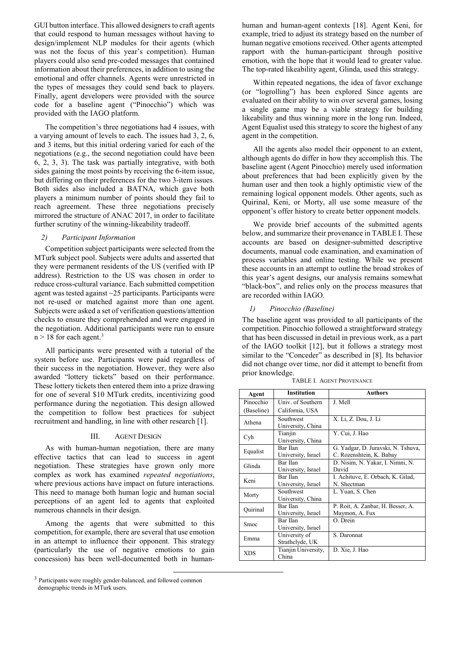GUI button interface. This allowed designers to craft agents that could respond to human messages without having to design/implement NLP modules for their agents (which was not the focus of this year's competition). Human players could also send pre-coded messages that contained information about their preferences, in addition to using the emotional and offer channels. Agents were unrestricted in the types of messages they could send back to players. Finally, agent developers were provided with the source code for a baseline agent ("Pinocchio") which was provided with the IAGO platform.

The competition's three negotiations had 4 issues, with a varying amount of levels to each. The issues had 3, 2, 6, and 3 items, but this initial ordering varied for each of the negotiations (e.g., the second negotiation could have been 6, 2, 3, 3). The task was partially integrative, with both sides gaining the most points by receiving the 6-item issue, but differing on their preferences for the two 3-item issues. Both sides also included a BATNA, which gave both players a minimum number of points should they fail to reach agreement. These three negotiations precisely mirrored the structure of ANAC 2017, in order to facilitate further scrutiny of the winning-likeability tradeoff.

#### *2) Participant Information*

Competition subject participants were selected from the MTurk subject pool. Subjects were adults and asserted that they were permanent residents of the US (verified with IP address). Restriction to the US was chosen in order to reduce cross-cultural variance. Each submitted competition agent was tested against ~25 participants. Participants were not re-used or matched against more than one agent. Subjects were asked a set of verification questions/attention checks to ensure they comprehended and were engaged in the negotiation. Additional participants were run to ensure  $n > 18$  for each agent.<sup>3</sup>

All participants were presented with a tutorial of the system before use. Participants were paid regardless of their success in the negotiation. However, they were also awarded "lottery tickets" based on their performance. These lottery tickets then entered them into a prize drawing for one of several \$10 MTurk credits, incentivizing good performance during the negotiation. This design allowed the competition to follow best practices for subject recruitment and handling, in line with other research [1].

#### III. AGENT DESIGN

As with human-human negotiation, there are many effective tactics that can lead to success in agent negotiation. These strategies have grown only more complex as work has examined *repeated negotiations*, where previous actions have impact on future interactions. This need to manage both human logic and human social perceptions of an agent led to agents that exploited numerous channels in their design.

Among the agents that were submitted to this competition, for example, there are several that use emotion in an attempt to influence their opponent. This strategy (particularly the use of negative emotions to gain concession) has been well-documented both in human-

<sup>3</sup> Participants were roughly gender-balanced, and followed common demographic trends in MTurk users.

human and human-agent contexts [18]. Agent Keni, for example, tried to adjust its strategy based on the number of human negative emotions received. Other agents attempted rapport with the human-participant through positive emotion, with the hope that it would lead to greater value. The top-rated likeability agent, Glinda, used this strategy.

Within repeated negations, the idea of favor exchange (or "logrolling") has been explored Since agents are evaluated on their ability to win over several games, losing a single game may be a viable strategy for building likeability and thus winning more in the long run. Indeed, Agent Equalist used this strategy to score the highest of any agent in the competition.

All the agents also model their opponent to an extent, although agents do differ in how they accomplish this. The baseline agent (Agent Pinocchio) merely used information about preferences that had been explicitly given by the human user and then took a highly optimistic view of the remaining logical opponent models. Other agents, such as Quirinal, Keni, or Morty, all use some measure of the opponent's offer history to create better opponent models.

We provide brief accounts of the submitted agents below, and summarize their provenance in TABLE I. These accounts are based on designer-submitted descriptive documents, manual code examination, and examination of process variables and online testing. While we present these accounts in an attempt to outline the broad strokes of this year's agent designs, our analysis remains somewhat "black-box", and relies only on the process measures that are recorded within IAGO.

#### *1) Pinocchio (Baseline)*

The baseline agent was provided to all participants of the competition. Pinocchio followed a straightforward strategy that has been discussed in detail in previous work, as a part of the IAGO toolkit [12], but it follows a strategy most similar to the "Conceder" as described in [8]. Its behavior did not change over time, nor did it attempt to benefit from prior knowledge.

| Agent      | <b>Institution</b>               | <b>Authors</b>                                                 |
|------------|----------------------------------|----------------------------------------------------------------|
| Pinocchio  | Univ. of Southern                | J. Mell                                                        |
| (Baseline) | California, USA                  |                                                                |
| Athena     | Southwest<br>University, China   | X. Li, Z. Dou, J. Li                                           |
| Cyh        | Tianjin<br>University, China     | Y. Cui, J. Hao                                                 |
| Equalist   | Bar Ilan<br>University, Israel   | G. Yadgar, D. Juravski, N. Tshuva,<br>C. Rozenshtein, K. Babay |
| Glinda     | Bar Ilan<br>University, Israel   | D. Nisim, N. Yakar, I. Nimni, N.<br>David                      |
| Keni       | Bar Ilan<br>University, Israel   | I. Achituve, E. Orbach, K. Gilad,<br>N. Shectman               |
| Morty      | Southwest<br>University, China   | L. Yuan, S. Chen                                               |
| Ouirinal   | Bar Ilan<br>University, Israel   | P. Roit, A. Zanbar, H. Besser, A.<br>Maymon, A. Fux            |
| Smoc       | Bar Ilan<br>University, Israel   | O. Drein                                                       |
| Emma       | University of<br>Strathclyde, UK | S. Daronnat                                                    |
| <b>XDS</b> | Tianjin University,<br>China     | D. Xie, J. Hao                                                 |

TABLE I. AGENT PROVENANCE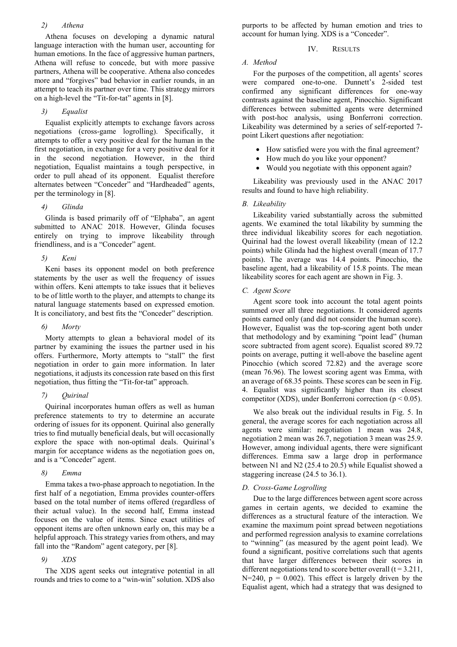#### *2) Athena*

Athena focuses on developing a dynamic natural language interaction with the human user, accounting for human emotions. In the face of aggressive human partners, Athena will refuse to concede, but with more passive partners, Athena will be cooperative. Athena also concedes more and "forgives" bad behavior in earlier rounds, in an attempt to teach its partner over time. This strategy mirrors on a high-level the "Tit-for-tat" agents in [8].

# *3) Equalist*

Equalist explicitly attempts to exchange favors across negotiations (cross-game logrolling). Specifically, it attempts to offer a very positive deal for the human in the first negotiation, in exchange for a very positive deal for it in the second negotiation. However, in the third negotiation, Equalist maintains a tough perspective, in order to pull ahead of its opponent. Equalist therefore alternates between "Conceder" and "Hardheaded" agents, per the terminology in [8].

# *4) Glinda*

Glinda is based primarily off of "Elphaba", an agent submitted to ANAC 2018. However, Glinda focuses entirely on trying to improve likeability through friendliness, and is a "Conceder" agent.

*5) Keni* 

Keni bases its opponent model on both preference statements by the user as well the frequency of issues within offers. Keni attempts to take issues that it believes to be of little worth to the player, and attempts to change its natural language statements based on expressed emotion. It is conciliatory, and best fits the "Conceder" description.

#### *6) Morty*

Morty attempts to glean a behavioral model of its partner by examining the issues the partner used in his offers. Furthermore, Morty attempts to "stall" the first negotiation in order to gain more information. In later negotiations, it adjusts its concession rate based on this first negotiation, thus fitting the "Tit-for-tat" approach.

# *7) Quirinal*

Quirinal incorporates human offers as well as human preference statements to try to determine an accurate ordering of issues for its opponent. Quirinal also generally tries to find mutually beneficial deals, but will occasionally explore the space with non-optimal deals. Quirinal's margin for acceptance widens as the negotiation goes on, and is a "Conceder" agent.

# *8) Emma*

Emma takes a two-phase approach to negotiation. In the first half of a negotiation, Emma provides counter-offers based on the total number of items offered (regardless of their actual value). In the second half, Emma instead focuses on the value of items. Since exact utilities of opponent items are often unknown early on, this may be a helpful approach. This strategy varies from others, and may fall into the "Random" agent category, per [8].

# *9) XDS*

The XDS agent seeks out integrative potential in all rounds and tries to come to a "win-win" solution. XDS also purports to be affected by human emotion and tries to account for human lying. XDS is a "Conceder".

# IV. RESULTS

# *A. Method*

For the purposes of the competition, all agents' scores were compared one-to-one. Dunnett's 2-sided test confirmed any significant differences for one-way contrasts against the baseline agent, Pinocchio. Significant differences between submitted agents were determined with post-hoc analysis, using Bonferroni correction. Likeability was determined by a series of self-reported 7 point Likert questions after negotiation:

- How satisfied were you with the final agreement?
- How much do you like your opponent?
- Would you negotiate with this opponent again?

Likeability was previously used in the ANAC 2017 results and found to have high reliability.

# *B. Likeability*

Likeability varied substantially across the submitted agents. We examined the total likability by summing the three individual likeability scores for each negotiation. Quirinal had the lowest overall likeability (mean of 12.2 points) while Glinda had the highest overall (mean of 17.7 points). The average was 14.4 points. Pinocchio, the baseline agent, had a likeability of 15.8 points. The mean likeability scores for each agent are shown in Fig. 3.

# *C. Agent Score*

Agent score took into account the total agent points summed over all three negotiations. It considered agents points earned only (and did not consider the human score). However, Equalist was the top-scoring agent both under that methodology and by examining "point lead" (human score subtracted from agent score). Equalist scored 89.72 points on average, putting it well-above the baseline agent Pinocchio (which scored 72.82) and the average score (mean 76.96). The lowest scoring agent was Emma, with an average of 68.35 points. These scores can be seen in Fig. 4. Equalist was significantly higher than its closest competitor (XDS), under Bonferroni correction ( $p < 0.05$ ).

We also break out the individual results in Fig. 5. In general, the average scores for each negotiation across all agents were similar: negotiation 1 mean was 24.8, negotiation 2 mean was 26.7, negotiation 3 mean was 25.9. However, among individual agents, there were significant differences. Emma saw a large drop in performance between N1 and N2 (25.4 to 20.5) while Equalist showed a staggering increase (24.5 to 36.1).

# *D. Cross-Game Logrolling*

Due to the large differences between agent score across games in certain agents, we decided to examine the differences as a structural feature of the interaction. We examine the maximum point spread between negotiations and performed regression analysis to examine correlations to "winning" (as measured by the agent point lead). We found a significant, positive correlations such that agents that have larger differences between their scores in different negotiations tend to score better overall  $(t = 3.211)$ ,  $N=240$ ,  $p = 0.002$ ). This effect is largely driven by the Equalist agent, which had a strategy that was designed to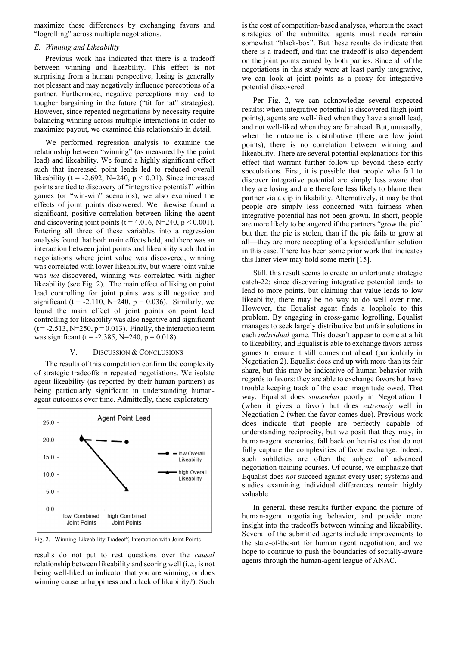maximize these differences by exchanging favors and "logrolling" across multiple negotiations.

#### *E. Winning and Likeability*

Previous work has indicated that there is a tradeoff between winning and likeability. This effect is not surprising from a human perspective; losing is generally not pleasant and may negatively influence perceptions of a partner. Furthermore, negative perceptions may lead to tougher bargaining in the future ("tit for tat" strategies). However, since repeated negotiations by necessity require balancing winning across multiple interactions in order to maximize payout, we examined this relationship in detail.

We performed regression analysis to examine the relationship between "winning" (as measured by the point lead) and likeability. We found a highly significant effect such that increased point leads led to reduced overall likeability (t = -2.692, N=240,  $p < 0.01$ ). Since increased points are tied to discovery of "integrative potential" within games (or "win-win" scenarios), we also examined the effects of joint points discovered. We likewise found a significant, positive correlation between liking the agent and discovering joint points ( $t = 4.016$ ,  $N=240$ ,  $p < 0.001$ ). Entering all three of these variables into a regression analysis found that both main effects held, and there was an interaction between joint points and likeability such that in negotiations where joint value was discovered, winning was correlated with lower likeability, but where joint value was *not* discovered, winning was correlated with higher likeability (see Fig. 2). The main effect of liking on point lead controlling for joint points was still negative and significant (t = -2.110, N=240,  $p = 0.036$ ). Similarly, we found the main effect of joint points on point lead controlling for likeability was also negative and significant  $(t = -2.513, N = 250, p = 0.013)$ . Finally, the interaction term was significant (t = -2.385, N=240, p = 0.018).

#### V. DISCUSSION & CONCLUSIONS

The results of this competition confirm the complexity of strategic tradeoffs in repeated negotiations. We isolate agent likeability (as reported by their human partners) as being particularly significant in understanding humanagent outcomes over time. Admittedly, these exploratory



Fig. 2. Winning-Likeability Tradeoff, Interaction with Joint Points

results do not put to rest questions over the *causal* relationship between likeability and scoring well (i.e., is not being well-liked an indicator that you are winning, or does winning cause unhappiness and a lack of likability?). Such

is the cost of competition-based analyses, wherein the exact strategies of the submitted agents must needs remain somewhat "black-box". But these results do indicate that there is a tradeoff, and that the tradeoff is also dependent on the joint points earned by both parties. Since all of the negotiations in this study were at least partly integrative, we can look at joint points as a proxy for integrative potential discovered.

Per Fig. 2, we can acknowledge several expected results: when integrative potential is discovered (high joint points), agents are well-liked when they have a small lead, and not well-liked when they are far ahead. But, unusually, when the outcome is distributive (there are low joint points), there is no correlation between winning and likeability. There are several potential explanations for this effect that warrant further follow-up beyond these early speculations. First, it is possible that people who fail to discover integrative potential are simply less aware that they are losing and are therefore less likely to blame their partner via a dip in likability. Alternatively, it may be that people are simply less concerned with fairness when integrative potential has not been grown. In short, people are more likely to be angered if the partners "grow the pie" but then the pie is stolen, than if the pie fails to grow at all—they are more accepting of a lopsided/unfair solution in this case. There has been some prior work that indicates this latter view may hold some merit [15].

Still, this result seems to create an unfortunate strategic catch-22: since discovering integrative potential tends to lead to more points, but claiming that value leads to low likeability, there may be no way to do well over time. However, the Equalist agent finds a loophole to this problem. By engaging in cross-game logrolling, Equalist manages to seek largely distributive but unfair solutions in each *individual* game. This doesn't appear to come at a hit to likeability, and Equalist is able to exchange favors across games to ensure it still comes out ahead (particularly in Negotiation 2). Equalist does end up with more than its fair share, but this may be indicative of human behavior with regards to favors: they are able to exchange favors but have trouble keeping track of the exact magnitude owed. That way, Equalist does *somewhat* poorly in Negotiation 1 (when it gives a favor) but does *extremely* well in Negotiation 2 (when the favor comes due). Previous work does indicate that people are perfectly capable of understanding reciprocity, but we posit that they may, in human-agent scenarios, fall back on heuristics that do not fully capture the complexities of favor exchange. Indeed, such subtleties are often the subject of advanced negotiation training courses. Of course, we emphasize that Equalist does *not* succeed against every user; systems and studies examining individual differences remain highly valuable.

In general, these results further expand the picture of human-agent negotiating behavior, and provide more insight into the tradeoffs between winning and likeability. Several of the submitted agents include improvements to the state-of-the-art for human agent negotiation, and we hope to continue to push the boundaries of socially-aware agents through the human-agent league of ANAC.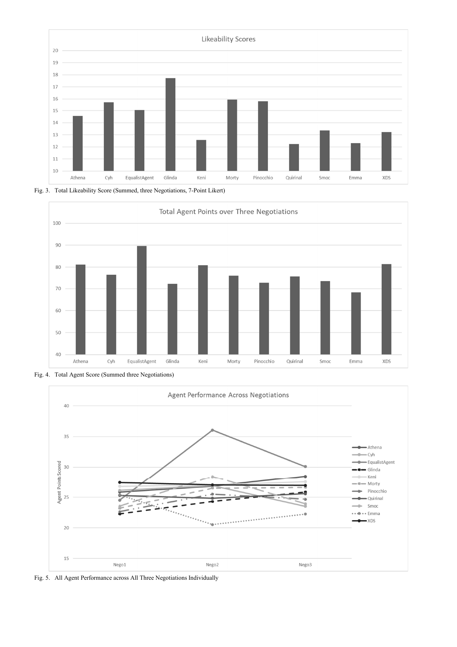





Fig. 4. Total Agent Score (Summed three Negotiations)



Fig. 5. All Agent Performance across All Three Negotiations Individually